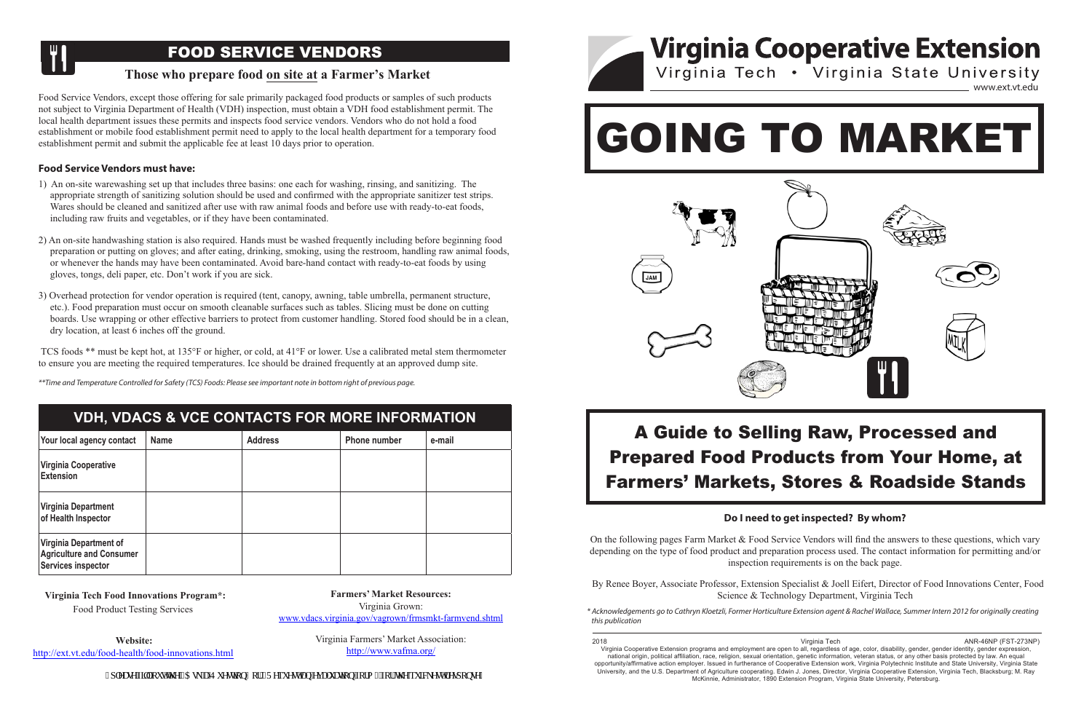

On the following pages Farm Market & Food Service Vendors will find the answers to these On the following pages Farm Market & Food Service Vendors will find the answers to these questions, which vary depending on the type of food product and preparation process used. The contact information for permitting and/or inspection requirements is on the back page.

By Renee Boyer, Associate Professor, Extension Specialist & Joell Eifert, Director of Food Innovations Center, Food  $S_{Cipnce}$  & Technology Department, Virginia Technology of  $R$  Technology Department  $V$ irginia Technology Extension, Virginia Cooperative Extension, Virginia Cooperative Extension, Virginia Cooperative Extension, Virginia Science & Technology Department, Virginia Tech

### $\blacksquare$  YDH VDACS & VCF CONTACTS FOR MORE INFORMATION **previous page. VDH, VDACS & VCE CONTACTS FOR MORE INFORMATION Extension**

dump site.

- permitt. The local health department is sues these permits and inspect service vendors who do not do not do no<br>The local department is sues the local department is sues that the local department is substitute of the local on-site warewashing set up that includes three basins: one each for washing, rinsing, and sanitizing. The topriate strength of sanitizing solution should be used and confirmed with the appropriate sanitizer test sti For site was should be cleaned and sammaced after also with raw annihilar rootes and before use with ready to car rootes,<br>including raw fruits and vegetables, or if they have been contaminated. 1) An on-site warewashing set up that includes three basins: one each for washing, rinsing, and sanitizing. The appropriate strength of sanitizing solution should be used and confirmed with the appropriate sanitizer test strips. wares should be cleaned and sanitized after use with raw animal foods and before use with ready-to-eat foods, including raw fruits and vegetables, or if they have been contaminated.
- 2) An on-site handwashing station is also required. Hands must be washed frequently including before beginning food preparation or putting on gloves; and after eating, drinking, smoking, using the restroom, handling raw animal foods, or whenever the hands may have been contaminated. Avoid bare-hand contact with ready-to-eat foods by using gloves, tongs, deli paper, etc. Don't work if you are sick.  $\mathcal{C}$  boards. Use wrapping or other effective barriers to protect from customer handling. Stored food should be shown customer handling. Stored food shown customer handling. Stored food shown customer handling. Stored
- food preparation or putting on gloves; and after eating, drinking, smoking, using the restroom, handling raw 3) Overhead protection for vendor operation is required (tent, canopy, awning, table umbrella, permanent structure, etc.). Food preparation must occur on smooth cleanable surfaces such as tables. Slicing must be done on cutting rds. Ose wrapping or other effective barriers to protect from customer nandling, stored food should be in a ci structure, at least o menes on the ground. boards. Use wrapping or other effective barriers to protect from customer handling. Stored food should be in a clean, thermometer to entropy of the reflective during to proved from easterner numanity. Stored from should be in a crean, dry location, at least 6 inches off the ground.

TCS foods \*\* must be kept hot, at 135°F or higher, or cold, at 41°F or lower. Use a calibrated metal stem thermometer to ensure you are meeting the required temperatures. Ice should be drained frequently at an approved dump site.

### **Do I need to get inspected? By whom?** Science & Technology Department, Virginia Tech

Your local agency contact Name Address Phone number e-mail

Food Service Vendors, except those offering for sale primarily packaged food products or samples of such not subject to Virginia Department of Health (VDH) inspection, must obtain a VDH food establishment permit. The<br>local health department issues these permits and inspects food service vendors. Vendors who do not hold a food establishment or mobile food establishment permit need to apply to the local health department for a temporary food Food Service Vendors, except those offering for sale primarily packaged food products or samples of such Food Service Vendors, except those offering for sale primarily packaged food products or samples of such products not subject to Virginia Department of Health (VDH) inspection, must obtain a VDH food establishment permit. The establishment permit and submit the applicable fee at least 10 days prior to operation.

# **Food Service Vendors must have:** The contract of the contract of the contract of the contract of the contract of the contract of the contract of the contract of the contract of the contract of the contract of the contract



ond Temperature Controlled for Safety (TCS) Foods: Please see important pote in bottom right of previous page.<br>In 1368°F or trailed for the USA of the USA of the USA or the USA or the USA or lower. Use a calibrated metal s thermometer to ensure you are meeting the required temperatures. Ice should be drained frequently at an approved VDH, VDACS & VCE CONTACTS FOR MORE INFORMATION *\*\*Time and Temperature Controlled for Safety (TCS) Foods: Please see important note in bottom right of previous page.*

> **Farmers' Market Resources:**  $Virginia Grown:$ **farmvend.shtml** [www.vdacs.virginia.gov/vagrown/frmsmkt-farmvend.shtml](http://www.vdacs.virginia.gov/vagrown/frmsmkt-farmvend.shtml)

Website: [http://ext.vt.edu/food-health/food-innovations.](http://www.fcs.ext.vt.edu/fnh/food-innovations/sample/index.html)html

Virginia Cooperative Extension programs and employment are open to all, regardless of age, color, disability, gender, gender identity, gender \* Acknowledgements go to Cathryn Kloetzli, Former Horticulture Extension agent & Rachel Wallace, Summer Intern 2012 for originally creating *this publication*

### A Guide to Selling Raw, Processed and Prepared Food Products from Your Home, at 1ers' Markets, Stores & Roadside St Markets, Stores Book Broadcast  $\blacksquare$  in the set in the set in the set in the set in the set in the set in the set in the set in the set in the set in the set in the set in the set in the set in the set in the set in the set in the set in the set in th On the following pages Farm Market & Food Service Vendors will find the answers to these **Farmers' Markets, Stores & Roadside Stands** contact information for permitting and or permitting and or inspection requirements is on the back page. A Guide to Selling Raw, Processed and Prepared Food Products from Your Home, at

| Your local agency contact                                                                     | <b>Name</b> | <b>Address</b> | <b>Phone number</b> | e-mail |
|-----------------------------------------------------------------------------------------------|-------------|----------------|---------------------|--------|
| <b>Virginia Cooperative</b><br><b>Extension</b>                                               |             |                |                     |        |
| Virginia Department<br>of Health Inspector                                                    |             |                |                     |        |
| <b>Virginia Department of</b><br><b>Agriculture and Consumer</b><br><b>Services inspector</b> |             |                |                     |        |

expression, national original original orientation, religion, political affiliation, religion,  $\frac{1}{2}$  and  $\frac{1}{2}$  and  $\frac{1}{2}$  and  $\frac{1}{2}$  and  $\frac{1}{2}$  and  $\frac{1}{2}$  and  $\frac{1}{2}$  and  $\frac{1}{2}$  and  $\frac{1}{2}$  and 2018 ANR-46NP (FST-273<br>Virginia Tech وVirginia Tech وVirginia Tech وVirginia Techt وVirginia Technic and Booperative Extension programs and employment are open to all, regardless of age, color, disability, gender, gender national origin, political affiliation, race, religion, sexual orientation, genetic information, veteran status, or any other basis protected by law. An equal opportunity/affirmative action employer. Issued in furtherance of Cooperative Extension work, Virginia Polytechnic Institute and State University, Virginia State Virginia Cooperative Extension programs and employment are open to all, regardless of age, color, disability, gender, gender identity, gender expression, University, and the U.S. Department of Agriculture cooperating. Edwin J. Jones, Director, Virginia Cooperative Extension, Virginia Tech, Blacksburg; M. Ray McKinnie, Administrator, 1890 Extension Program, Virginia State University, Petersburg.

Food Product Testing services innovations/sample/index.html **Virginia Tech Food Innovations Program\*:**

Food Product Testing Services

Virginia Farmers' Market Association: Virginia Farmers' Market Association: **http://www.vafma.org/** <http://www.vafma.org/>

, r recug'hkri'qw'\j g'\$Cun'c'S wgu\kqp\$ qt '\$T gs wgu\'cp''gxcnwc\kqp'hqto \$'hqt'\j g''s wkenguv't gur qpug#

# FOOD SERVICE VENDORS

## **Those who prepare food on site at a Farmer's Market**